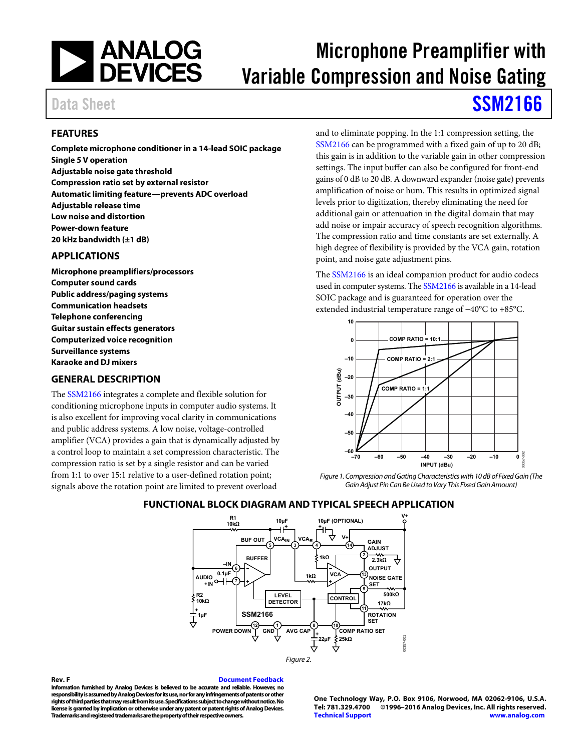

# Microphone Preamplifier with Variable Compression and Noise Gating

# Data Sheet **[SSM2166](http://www.analog.com/SSM2166?doc=SSM2166.pdf)**

### <span id="page-0-0"></span>**FEATURES**

**Complete microphone conditioner in a 14-lead SOIC package Single 5 V operation Adjustable noise gate threshold Compression ratio set by external resistor Automatic limiting feature—prevents ADC overload Adjustable release time Low noise and distortion Power-down feature 20 kHz bandwidth (±1 dB)** 

### <span id="page-0-1"></span>**APPLICATIONS**

**Microphone preamplifiers/processors Computer sound cards Public address/paging systems Communication headsets Telephone conferencing Guitar sustain effects generators Computerized voice recognition Surveillance systems Karaoke and DJ mixers** 

### <span id="page-0-2"></span>**GENERAL DESCRIPTION**

The [SSM2166 i](http://www.analog.com/SSM2166?doc=SSM2166.pdf)ntegrates a complete and flexible solution for conditioning microphone inputs in computer audio systems. It is also excellent for improving vocal clarity in communications and public address systems. A low noise, voltage-controlled amplifier (VCA) provides a gain that is dynamically adjusted by a control loop to maintain a set compression characteristic. The compression ratio is set by a single resistor and can be varied from 1:1 to over 15:1 relative to a user-defined rotation point; signals above the rotation point are limited to prevent overload

and to eliminate popping. In the 1:1 compression setting, the [SSM2166 c](http://www.analog.com/SSM2166?doc=SSM2166.pdf)an be programmed with a fixed gain of up to 20 dB; this gain is in addition to the variable gain in other compression settings. The input buffer can also be configured for front-end gains of 0 dB to 20 dB. A downward expander (noise gate) prevents amplification of noise or hum. This results in optimized signal levels prior to digitization, thereby eliminating the need for additional gain or attenuation in the digital domain that may add noise or impair accuracy of speech recognition algorithms. The compression ratio and time constants are set externally. A high degree of flexibility is provided by the VCA gain, rotation point, and noise gate adjustment pins.

The [SSM2166 i](http://www.analog.com/SSM2166?doc=SSM2166.pdf)s an ideal companion product for audio codecs used in computer systems. Th[e SSM2166 i](http://www.analog.com/SSM2166?doc=SSM2166.pdf)s available in a 14-lead SOIC package and is guaranteed for operation over the extended industrial temperature range of −40°C to +85°C.



Figure 1. Compression and Gating Characteristics with 10 dB of Fixed Gain (The Gain Adjust Pin Can Be Used to Vary This Fixed Gain Amount)

### <span id="page-0-3"></span>**FUNCTIONAL BLOCK DIAGRAM AND TYPICAL SPEECH APPLICATION**



#### <span id="page-0-4"></span>**Rev. F [Document Feedback](https://form.analog.com/Form_Pages/feedback/documentfeedback.aspx?doc=SSM2166.pdf&product=SSM2166&rev=F)**

**Information furnished by Analog Devices is believed to be accurate and reliable. However, no responsibility is assumed by Analog Devices for its use, nor for any infringements of patents or other rights of third parties that may result from its use. Specifications subject to change without notice. No license is granted by implication or otherwise under any patent or patent rights of Analog Devices. Trademarks and registered trademarks are the property of their respective owners.** 

**One Technology Way, P.O. Box 9106, Norwood, MA 02062-9106, U.S.A. Tel: 781.329.4700 ©1996–2016 Analog Devices, Inc. All rights reserved. [Technical Support](http://www.analog.com/en/content/technical_support_page/fca.html) [www.analog.com](http://www.analog.com/)**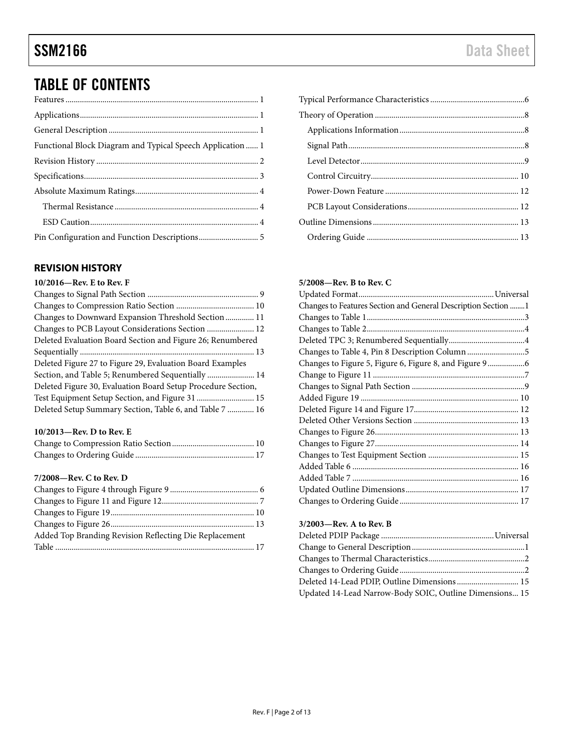## TABLE OF CONTENTS

| Functional Block Diagram and Typical Speech Application  1 |  |
|------------------------------------------------------------|--|
|                                                            |  |
|                                                            |  |
|                                                            |  |
|                                                            |  |
|                                                            |  |
|                                                            |  |

### <span id="page-1-0"></span>**REVISION HISTORY**

### **10/2016—Rev. E to Rev. F**

### **10/2013—Rev. D to Rev. E**

### **7/2008—Rev. C to Rev. D**

### **5/2008—Rev. B to Rev. C**

### **3/2003—Rev. A to Rev. B**

| Deleted 14-Lead PDIP, Outline Dimensions  15            |  |
|---------------------------------------------------------|--|
| Updated 14-Lead Narrow-Body SOIC, Outline Dimensions 15 |  |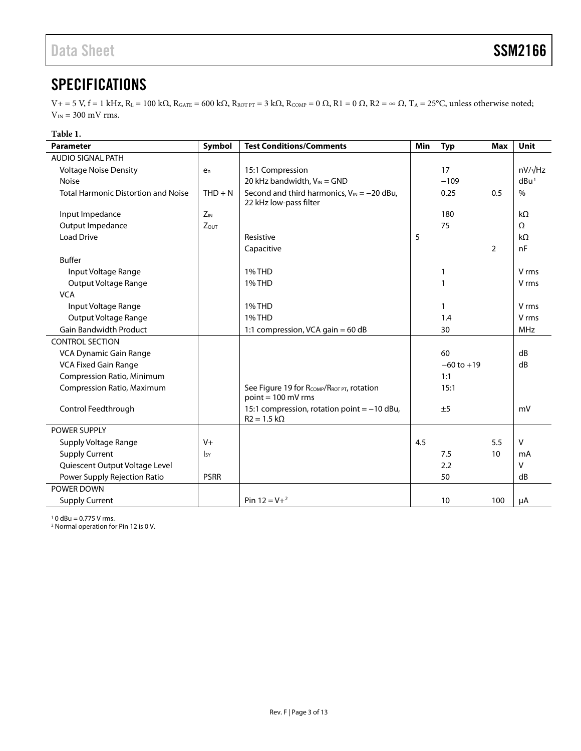## <span id="page-2-0"></span>**SPECIFICATIONS**

 $V_+$  = 5 V, f = 1 kHz, R<sub>L</sub> = 100 kΩ, R<sub>GATE</sub> = 600 kΩ, R<sub>ROT PT</sub> = 3 kΩ, R<sub>COMP</sub> = 0 Ω, R1 = 0 Ω, R2 = ∞ Ω, T<sub>A</sub> = 25°C, unless otherwise noted;  $V_{\rm IN} = 300$  mV rms.

### **Table 1.**

| <b>Parameter</b>                           | Symbol         | <b>Test Conditions/Comments</b>                                           | Min | <b>Typ</b>     | <b>Max</b>     | Unit             |
|--------------------------------------------|----------------|---------------------------------------------------------------------------|-----|----------------|----------------|------------------|
| <b>AUDIO SIGNAL PATH</b>                   |                |                                                                           |     |                |                |                  |
| <b>Voltage Noise Density</b>               | $e_n$          | 15:1 Compression                                                          |     | 17             |                | $nV/\sqrt{Hz}$   |
| <b>Noise</b>                               |                | 20 kHz bandwidth, $V_{IN} = GND$                                          |     | $-109$         |                | dBu <sup>1</sup> |
| <b>Total Harmonic Distortion and Noise</b> | $THD + N$      | Second and third harmonics, $V_{IN} = -20$ dBu,<br>22 kHz low-pass filter |     | 0.25           | 0.5            | $\%$             |
| Input Impedance                            | $Z_{IN}$       |                                                                           |     | 180            |                | $k\Omega$        |
| Output Impedance                           | $Z_{OUT}$      |                                                                           |     | 75             |                | $\Omega$         |
| <b>Load Drive</b>                          |                | Resistive                                                                 | 5   |                |                | $k\Omega$        |
|                                            |                | Capacitive                                                                |     |                | $\overline{2}$ | nF               |
| <b>Buffer</b>                              |                |                                                                           |     |                |                |                  |
| Input Voltage Range                        |                | 1% THD                                                                    |     | 1              |                | V rms            |
| Output Voltage Range                       |                | <b>1% THD</b>                                                             |     | $\mathbf{1}$   |                | V rms            |
| <b>VCA</b>                                 |                |                                                                           |     |                |                |                  |
| Input Voltage Range                        |                | 1% THD                                                                    |     | $\mathbf{1}$   |                | V rms            |
| Output Voltage Range                       |                | <b>1% THD</b>                                                             |     | 1.4            |                | V rms            |
| <b>Gain Bandwidth Product</b>              |                | 1:1 compression, VCA gain = 60 dB                                         |     | 30             |                | <b>MHz</b>       |
| <b>CONTROL SECTION</b>                     |                |                                                                           |     |                |                |                  |
| VCA Dynamic Gain Range                     |                |                                                                           |     | 60             |                | dB               |
| <b>VCA Fixed Gain Range</b>                |                |                                                                           |     | $-60$ to $+19$ |                | dB               |
| Compression Ratio, Minimum                 |                |                                                                           |     | 1:1            |                |                  |
| Compression Ratio, Maximum                 |                | See Figure 19 for RCOMP/RROT PT, rotation<br>$point = 100$ mV rms         |     | 15:1           |                |                  |
| Control Feedthrough                        |                | 15:1 compression, rotation point $=$ -10 dBu,<br>$R2 = 1.5 k\Omega$       |     | ±5             |                | mV               |
| POWER SUPPLY                               |                |                                                                           |     |                |                |                  |
| Supply Voltage Range                       | $V +$          |                                                                           | 4.5 |                | 5.5            | V                |
| <b>Supply Current</b>                      | <sub>Isy</sub> |                                                                           |     | 7.5            | 10             | mA               |
| Quiescent Output Voltage Level             |                |                                                                           |     | 2.2            |                | $\mathsf{V}$     |
| Power Supply Rejection Ratio               | <b>PSRR</b>    |                                                                           |     | 50             |                | dB               |
| POWER DOWN                                 |                |                                                                           |     |                |                |                  |
| <b>Supply Current</b>                      |                | Pin $12 = V + 2$                                                          |     | 10             | 100            | μA               |

 $10$  dBu = 0.775 V rms.

<sup>2</sup> Normal operation for Pin 12 is 0 V.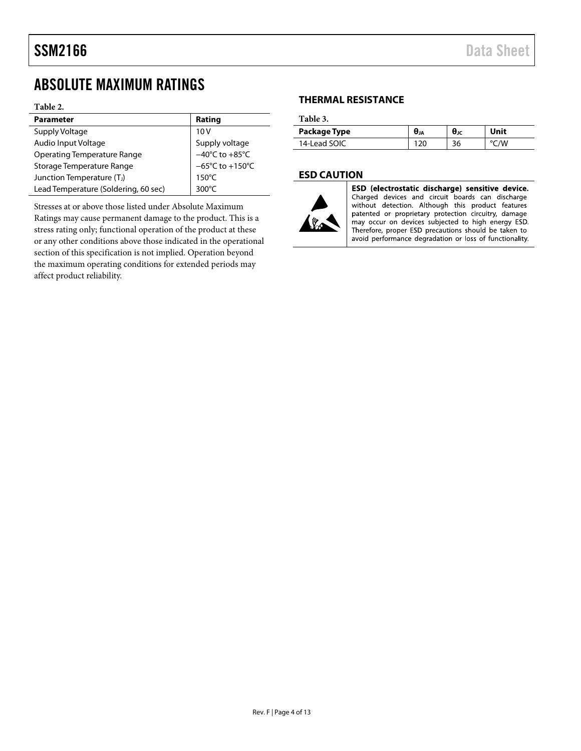### <span id="page-3-0"></span>ABSOLUTE MAXIMUM RATINGS

### **Table 2.**

| <b>Parameter</b>                     | Rating                               |
|--------------------------------------|--------------------------------------|
| Supply Voltage                       | 10V                                  |
| Audio Input Voltage                  | Supply voltage                       |
| <b>Operating Temperature Range</b>   | $-40^{\circ}$ C to $+85^{\circ}$ C   |
| Storage Temperature Range            | $-65^{\circ}$ C to +150 $^{\circ}$ C |
| Junction Temperature (TJ)            | $150^{\circ}$ C                      |
| Lead Temperature (Soldering, 60 sec) | 300 $\degree$ C                      |

Stresses at or above those listed under Absolute Maximum Ratings may cause permanent damage to the product. This is a stress rating only; functional operation of the product at these or any other conditions above those indicated in the operational section of this specification is not implied. Operation beyond the maximum operating conditions for extended periods may affect product reliability.

### <span id="page-3-1"></span>**THERMAL RESISTANCE**

**Table 3.** 

| Package Type | UJA | θк | Unit |
|--------------|-----|----|------|
| 14-Lead SOIC |     | 36 | /W   |

### <span id="page-3-2"></span>**ESD CAUTION**



ESD (electrostatic discharge) sensitive device. Charged devices and circuit boards can discharge without detection. Although this product features patented or proprietary protection circuitry, damage may occur on devices subjected to high energy ESD. Therefore, proper ESD precautions should be taken to avoid performance degradation or loss of functionality.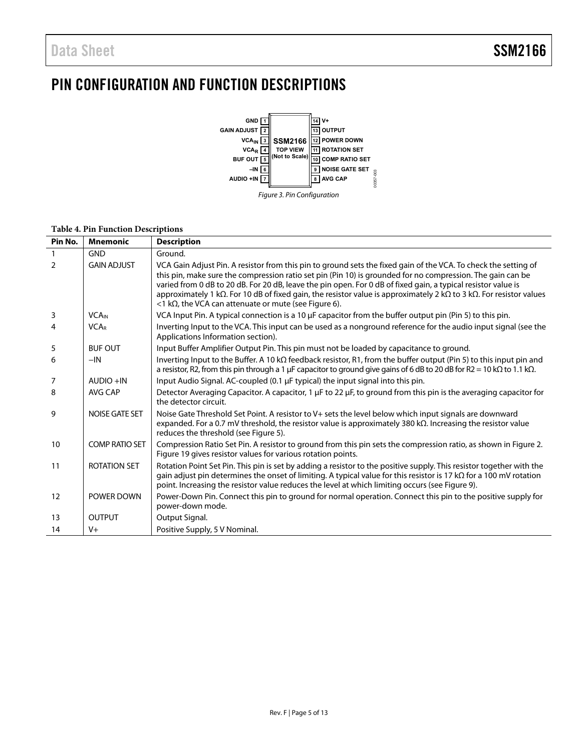## <span id="page-4-0"></span>PIN CONFIGURATION AND FUNCTION DESCRIPTIONS



|  | Figure 3. Pin Configuration |
|--|-----------------------------|
|  |                             |

| Pin No.        | <b>Mnemonic</b>          | <b>Description</b>                                                                                                                                                                                                                                                                                                                                                                                                                                                                                                                                     |
|----------------|--------------------------|--------------------------------------------------------------------------------------------------------------------------------------------------------------------------------------------------------------------------------------------------------------------------------------------------------------------------------------------------------------------------------------------------------------------------------------------------------------------------------------------------------------------------------------------------------|
|                | <b>GND</b>               | Ground.                                                                                                                                                                                                                                                                                                                                                                                                                                                                                                                                                |
| $\overline{2}$ | <b>GAIN ADJUST</b>       | VCA Gain Adjust Pin. A resistor from this pin to ground sets the fixed gain of the VCA. To check the setting of<br>this pin, make sure the compression ratio set pin (Pin 10) is grounded for no compression. The gain can be<br>varied from 0 dB to 20 dB. For 20 dB, leave the pin open. For 0 dB of fixed gain, a typical resistor value is<br>approximately 1 k $\Omega$ . For 10 dB of fixed gain, the resistor value is approximately 2 k $\Omega$ to 3 k $\Omega$ . For resistor values<br><1 kΩ, the VCA can attenuate or mute (see Figure 6). |
| 3              | <b>VCA</b> <sub>IN</sub> | VCA Input Pin. A typical connection is a 10 µF capacitor from the buffer output pin (Pin 5) to this pin.                                                                                                                                                                                                                                                                                                                                                                                                                                               |
| 4              | <b>VCAR</b>              | Inverting Input to the VCA. This input can be used as a nonground reference for the audio input signal (see the<br>Applications Information section).                                                                                                                                                                                                                                                                                                                                                                                                  |
| 5              | <b>BUF OUT</b>           | Input Buffer Amplifier Output Pin. This pin must not be loaded by capacitance to ground.                                                                                                                                                                                                                                                                                                                                                                                                                                                               |
| 6              | $-IN$                    | Inverting Input to the Buffer. A 10 k $\Omega$ feedback resistor, R1, from the buffer output (Pin 5) to this input pin and<br>a resistor, R2, from this pin through a 1 µF capacitor to ground give gains of 6 dB to 20 dB for R2 = 10 k $\Omega$ to 1.1 k $\Omega$ .                                                                                                                                                                                                                                                                                  |
| 7              | $AUDIO + IN$             | Input Audio Signal. AC-coupled (0.1 µF typical) the input signal into this pin.                                                                                                                                                                                                                                                                                                                                                                                                                                                                        |
| 8              | AVG CAP                  | Detector Averaging Capacitor. A capacitor, 1 µF to 22 µF, to ground from this pin is the averaging capacitor for<br>the detector circuit.                                                                                                                                                                                                                                                                                                                                                                                                              |
| 9              | <b>NOISE GATE SET</b>    | Noise Gate Threshold Set Point. A resistor to V+ sets the level below which input signals are downward<br>expanded. For a 0.7 mV threshold, the resistor value is approximately 380 k $\Omega$ . Increasing the resistor value<br>reduces the threshold (see Figure 5).                                                                                                                                                                                                                                                                                |
| 10             | <b>COMP RATIO SET</b>    | Compression Ratio Set Pin. A resistor to ground from this pin sets the compression ratio, as shown in Figure 2.<br>Figure 19 gives resistor values for various rotation points.                                                                                                                                                                                                                                                                                                                                                                        |
| 11             | <b>ROTATION SET</b>      | Rotation Point Set Pin. This pin is set by adding a resistor to the positive supply. This resistor together with the<br>gain adjust pin determines the onset of limiting. A typical value for this resistor is 17 k $\Omega$ for a 100 mV rotation<br>point. Increasing the resistor value reduces the level at which limiting occurs (see Figure 9).                                                                                                                                                                                                  |
| 12             | POWER DOWN               | Power-Down Pin. Connect this pin to ground for normal operation. Connect this pin to the positive supply for<br>power-down mode.                                                                                                                                                                                                                                                                                                                                                                                                                       |
| 13             | <b>OUTPUT</b>            | Output Signal.                                                                                                                                                                                                                                                                                                                                                                                                                                                                                                                                         |
| 14             | $V +$                    | Positive Supply, 5 V Nominal.                                                                                                                                                                                                                                                                                                                                                                                                                                                                                                                          |

### **Table 4. Pin Function Descriptions**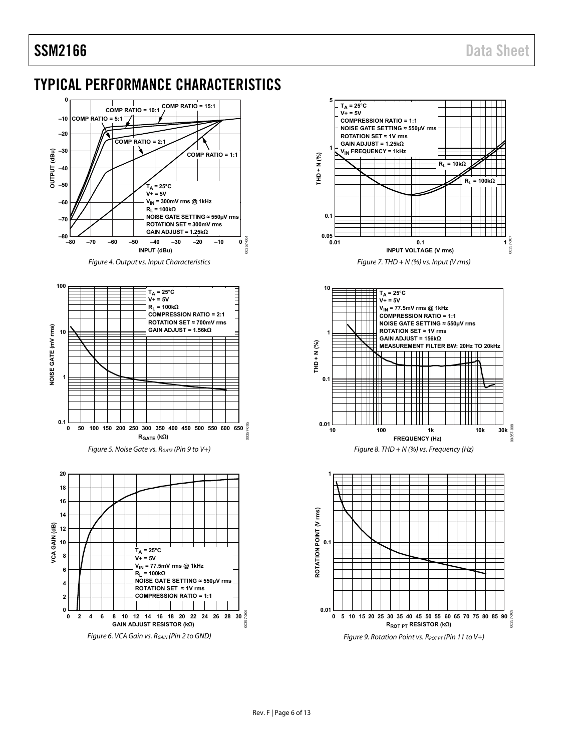## <span id="page-5-0"></span>TYPICAL PERFORMANCE CHARACTERISTICS



Figure 4. Output vs. Input Characteristics





<span id="page-5-2"></span><span id="page-5-1"></span>









<span id="page-5-3"></span>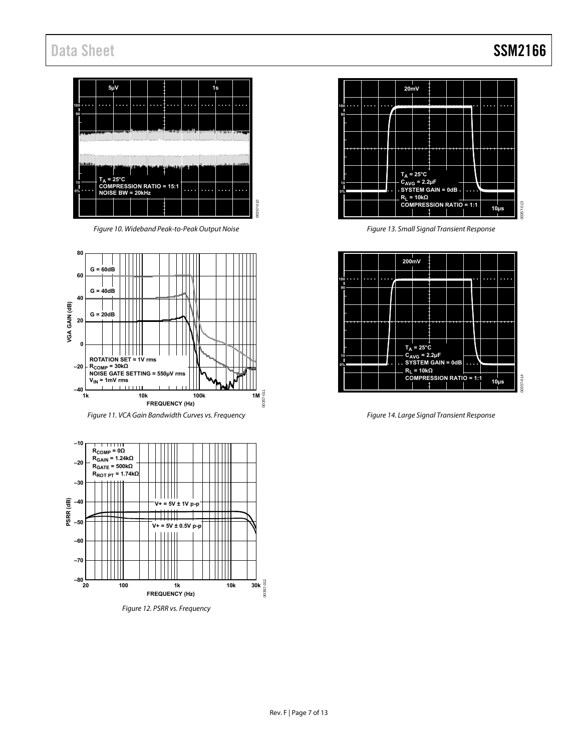## Data Sheet SSM2166



Figure 10. Wideband Peak-to-Peak Output Noise

<span id="page-6-1"></span>

Figure 11. VCA Gain Bandwidth Curves vs. Frequency

<span id="page-6-0"></span>





Figure 13. Small Signal Transient Response



Figure 14. Large Signal Transient Response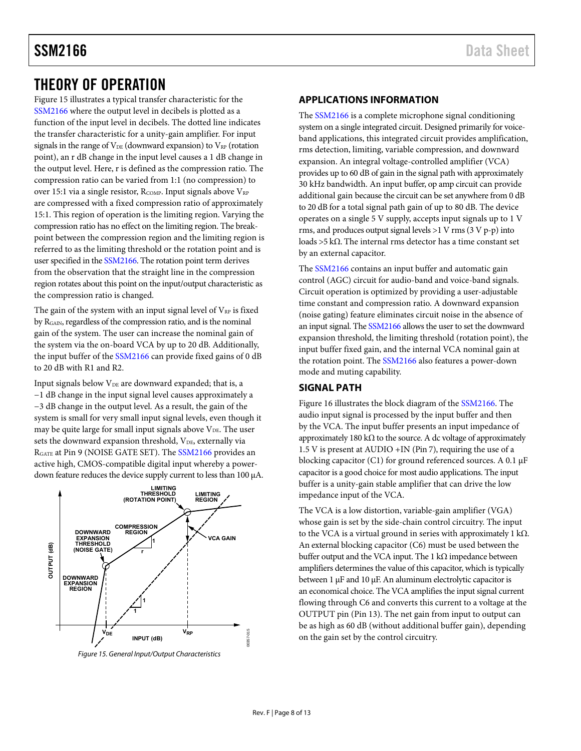### <span id="page-7-0"></span>THEORY OF OPERATION

[Figure 15 i](#page-7-3)llustrates a typical transfer characteristic for the [SSM2166 w](http://www.analog.com/SSM2166?doc=SSM2166.pdf)here the output level in decibels is plotted as a function of the input level in decibels. The dotted line indicates the transfer characteristic for a unity-gain amplifier. For input signals in the range of  $V_{DE}$  (downward expansion) to  $V_{RP}$  (rotation point), an r dB change in the input level causes a 1 dB change in the output level. Here, r is defined as the compression ratio. The compression ratio can be varied from 1:1 (no compression) to over 15:1 via a single resistor,  $R_{COMP}$ . Input signals above  $V_{RP}$ are compressed with a fixed compression ratio of approximately 15:1. This region of operation is the limiting region. Varying the compression ratio has no effect on the limiting region. The breakpoint between the compression region and the limiting region is referred to as the limiting threshold or the rotation point and is user specified in th[e SSM2166.](http://www.analog.com/SSM2166?doc=SSM2166.pdf) The rotation point term derives from the observation that the straight line in the compression region rotates about this point on the input/output characteristic as the compression ratio is changed.

The gain of the system with an input signal level of  $V_{RP}$  is fixed by RGAIN, regardless of the compression ratio, and is the nominal gain of the system. The user can increase the nominal gain of the system via the on-board VCA by up to 20 dB. Additionally, the input buffer of th[e SSM2166](http://www.analog.com/SSM2166?doc=SSM2166.pdf) can provide fixed gains of 0 dB to 20 dB with R1 and R2.

Input signals below V<sub>DE</sub> are downward expanded; that is, a −1 dB change in the input signal level causes approximately a −3 dB change in the output level. As a result, the gain of the system is small for very small input signal levels, even though it may be quite large for small input signals above  $V_{DE}$ . The user sets the downward expansion threshold, V<sub>DE</sub>, externally via RGATE at Pin 9 (NOISE GATE SET). The [SSM2166 p](http://www.analog.com/SSM2166?doc=SSM2166.pdf)rovides an active high, CMOS-compatible digital input whereby a powerdown feature reduces the device supply current to less than 100 μA.



<span id="page-7-3"></span>Figure 15. General Input/Output Characteristics

### <span id="page-7-1"></span>**APPLICATIONS INFORMATION**

The [SSM2166 i](http://www.analog.com/SSM2166?doc=SSM2166.pdf)s a complete microphone signal conditioning system on a single integrated circuit. Designed primarily for voiceband applications, this integrated circuit provides amplification, rms detection, limiting, variable compression, and downward expansion. An integral voltage-controlled amplifier (VCA) provides up to 60 dB of gain in the signal path with approximately 30 kHz bandwidth. An input buffer, op amp circuit can provide additional gain because the circuit can be set anywhere from 0 dB to 20 dB for a total signal path gain of up to 80 dB. The device operates on a single 5 V supply, accepts input signals up to 1 V rms, and produces output signal levels >1 V rms (3 V p-p) into loads >5 kΩ. The internal rms detector has a time constant set by an external capacitor.

The [SSM2166 c](http://www.analog.com/SSM2166?doc=SSM2166.pdf)ontains an input buffer and automatic gain control (AGC) circuit for audio-band and voice-band signals. Circuit operation is optimized by providing a user-adjustable time constant and compression ratio. A downward expansion (noise gating) feature eliminates circuit noise in the absence of an input signal. Th[e SSM2166 a](http://www.analog.com/SSM2166?doc=SSM2166.pdf)llows the user to set the downward expansion threshold, the limiting threshold (rotation point), the input buffer fixed gain, and the internal VCA nominal gain at the rotation point. Th[e SSM2166](http://www.analog.com/SSM2166?doc=SSM2166.pdf) also features a power-down mode and muting capability.

### <span id="page-7-2"></span>**SIGNAL PATH**

[Figure 16 i](#page-8-1)llustrates the block diagram of the [SSM2166.](http://www.analog.com/SSM2166?doc=SSM2166.pdf) The audio input signal is processed by the input buffer and then by the VCA. The input buffer presents an input impedance of approximately 180 kΩ to the source. A dc voltage of approximately 1.5 V is present at AUDIO +IN (Pin 7), requiring the use of a blocking capacitor (C1) for ground referenced sources. A 0.1 μF capacitor is a good choice for most audio applications. The input buffer is a unity-gain stable amplifier that can drive the low impedance input of the VCA.

The VCA is a low distortion, variable-gain amplifier (VGA) whose gain is set by the side-chain control circuitry. The input to the VCA is a virtual ground in series with approximately 1 kΩ. An external blocking capacitor (C6) must be used between the buffer output and the VCA input. The 1 kΩ impedance between amplifiers determines the value of this capacitor, which is typically between 1 μF and 10 μF. An aluminum electrolytic capacitor is an economical choice. The VCA amplifies the input signal current flowing through C6 and converts this current to a voltage at the OUTPUT pin (Pin 13). The net gain from input to output can be as high as 60 dB (without additional buffer gain), depending on the gain set by the control circuitry.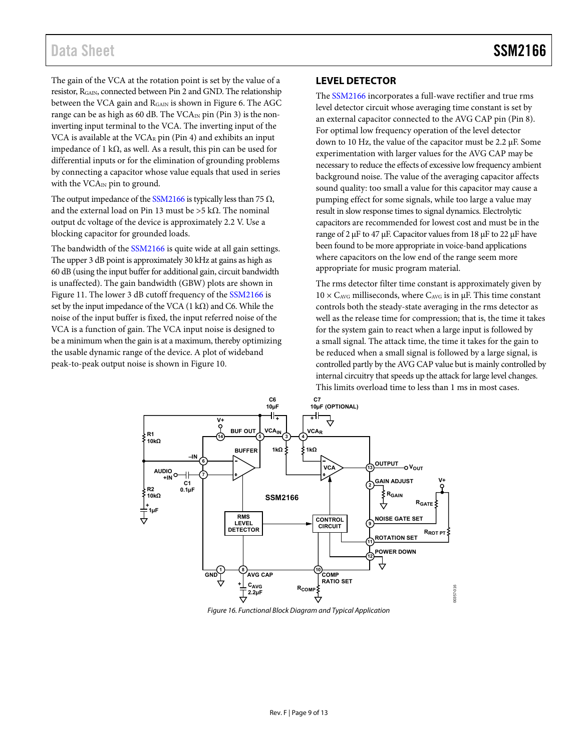### Data Sheet SSM2166

The gain of the VCA at the rotation point is set by the value of a resistor, RGAIN, connected between Pin 2 and GND. The relationship between the VCA gain and RGAIN is shown in [Figure 6.](#page-5-1) The AGC range can be as high as 60 dB. The  $VCA_{IN}$  pin (Pin 3) is the noninverting input terminal to the VCA. The inverting input of the VCA is available at the  $VCA_R$  pin (Pin 4) and exhibits an input impedance of 1 kΩ, as well. As a result, this pin can be used for differential inputs or for the elimination of grounding problems by connecting a capacitor whose value equals that used in series with the VCA<sub>IN</sub> pin to ground.

The output impedance of th[e SSM2166 i](http://www.analog.com/SSM2166?doc=SSM2166.pdf)s typically less than 75  $\Omega$ , and the external load on Pin 13 must be >5 k $\Omega$ . The nominal output dc voltage of the device is approximately 2.2 V. Use a blocking capacitor for grounded loads.

The bandwidth of the [SSM2166 i](http://www.analog.com/SSM2166?doc=SSM2166.pdf)s quite wide at all gain settings. The upper 3 dB point is approximately 30 kHz at gains as high as 60 dB (using the input buffer for additional gain, circuit bandwidth is unaffected). The gain bandwidth (GBW) plots are shown in [Figure 11.](#page-6-0) The lower 3 dB cutoff frequency of the [SSM2166 i](http://www.analog.com/SSM2166?doc=SSM2166.pdf)s set by the input impedance of the VCA (1 k $\Omega$ ) and C6. While the noise of the input buffer is fixed, the input referred noise of the VCA is a function of gain. The VCA input noise is designed to be a minimum when the gain is at a maximum, thereby optimizing the usable dynamic range of the device. A plot of wideband peak-to-peak output noise is shown i[n Figure 10.](#page-6-1)

### <span id="page-8-0"></span>**LEVEL DETECTOR**

The [SSM2166 i](http://www.analog.com/SSM2166?doc=SSM2166.pdf)ncorporates a full-wave rectifier and true rms level detector circuit whose averaging time constant is set by an external capacitor connected to the AVG CAP pin (Pin 8). For optimal low frequency operation of the level detector down to 10 Hz, the value of the capacitor must be 2.2 μF. Some experimentation with larger values for the AVG CAP may be necessary to reduce the effects of excessive low frequency ambient background noise. The value of the averaging capacitor affects sound quality: too small a value for this capacitor may cause a pumping effect for some signals, while too large a value may result in slow response times to signal dynamics. Electrolytic capacitors are recommended for lowest cost and must be in the range of 2 μF to 47 μF. Capacitor values from 18 μF to 22 μF have been found to be more appropriate in voice-band applications where capacitors on the low end of the range seem more appropriate for music program material.

The rms detector filter time constant is approximately given by  $10 \times C_{AVG}$  milliseconds, where  $C_{AVG}$  is in  $\mu$ F. This time constant controls both the steady-state averaging in the rms detector as well as the release time for compression; that is, the time it takes for the system gain to react when a large input is followed by a small signal. The attack time, the time it takes for the gain to be reduced when a small signal is followed by a large signal, is controlled partly by the AVG CAP value but is mainly controlled by internal circuitry that speeds up the attack for large level changes. This limits overload time to less than 1 ms in most cases.



<span id="page-8-1"></span>Figure 16. Functional Block Diagram and Typical Application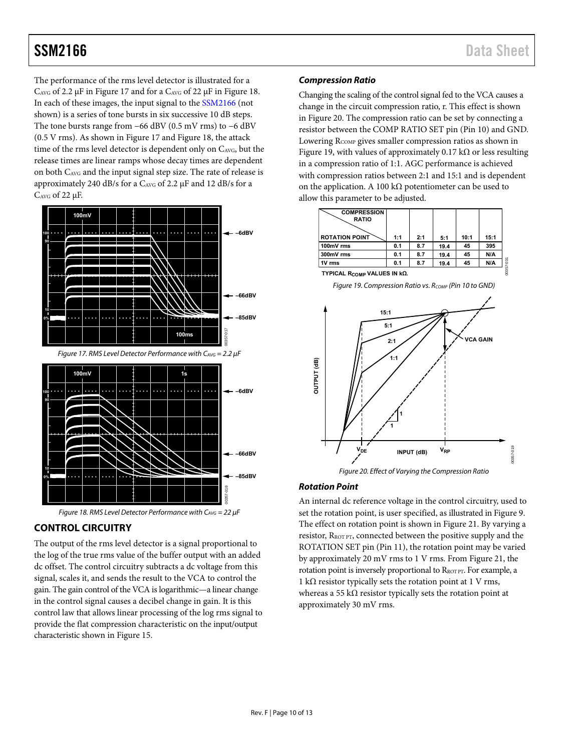The performance of the rms level detector is illustrated for a CAVG of 2.2 μF i[n Figure 17](#page-9-2) and for a CAVG of 22 μF i[n Figure 18.](#page-9-3) In each of these images, the input signal to the [SSM2166 \(](http://www.analog.com/SSM2166?doc=SSM2166.pdf)not shown) is a series of tone bursts in six successive 10 dB steps. The tone bursts range from −66 dBV (0.5 mV rms) to −6 dBV (0.5 V rms). As shown in [Figure 17 a](#page-9-2)nd [Figure 18,](#page-9-3) the attack time of the rms level detector is dependent only on C<sub>AVG</sub>, but the release times are linear ramps whose decay times are dependent on both CAVG and the input signal step size. The rate of release is approximately 240 dB/s for a CAVG of 2.2 μF and 12 dB/s for a CAVG of 22 μF.

<span id="page-9-2"></span>



### <span id="page-9-3"></span><span id="page-9-0"></span>**CONTROL CIRCUITRY**

The output of the rms level detector is a signal proportional to the log of the true rms value of the buffer output with an added dc offset. The control circuitry subtracts a dc voltage from this signal, scales it, and sends the result to the VCA to control the gain. The gain control of the VCA is logarithmic—a linear change in the control signal causes a decibel change in gain. It is this control law that allows linear processing of the log rms signal to provide the flat compression characteristic on the input/output characteristic shown in [Figure 15.](#page-7-3) 

### **Compression Ratio**

Changing the scaling of the control signal fed to the VCA causes a change in the circuit compression ratio, r. This effect is shown in [Figure 20.](#page-9-4) The compression ratio can be set by connecting a resistor between the COMP RATIO SET pin (Pin 10) and GND. Lowering R<sub>COMP</sub> gives smaller compression ratios as shown in [Figure 19,](#page-9-1) with values of approximately 0.17 k $\Omega$  or less resulting in a compression ratio of 1:1. AGC performance is achieved with compression ratios between 2:1 and 15:1 and is dependent on the application. A 100 k $\Omega$  potentiometer can be used to allow this parameter to be adjusted.

| <b>COMPRESSION</b><br><b>RATIO</b> |     |     |      |      |      |
|------------------------------------|-----|-----|------|------|------|
| <b>ROTATION POINT</b>              | 1:1 | 2:1 | 5:1  | 10:1 | 15:1 |
| 100mV rms                          | 0.1 | 8.7 | 19.4 | 45   | 395  |
| 300mV rms                          | 0.1 | 8.7 | 19.4 | 45   | N/A  |
| 1V rms                             | 0.1 | 8.7 | 19.4 | 45   | N/A  |

 **TYPICAL RCOMP VALUES IN kΩ.**

Figure 19. Compression Ratio vs.  $R_{COMP}$  (Pin 10 to GND)

<span id="page-9-1"></span>

Figure 20. Effect of Varying the Compression Ratio

#### <span id="page-9-4"></span>**Rotation Point**

An internal dc reference voltage in the control circuitry, used to set the rotation point, is user specified, as illustrated i[n Figure 9.](#page-5-3)  The effect on rotation point is shown i[n Figure 21.](#page-10-0) By varying a resistor, RROT PT, connected between the positive supply and the ROTATION SET pin (Pin 11), the rotation point may be varied by approximately 20 mV rms to 1 V rms. Fro[m Figure 21,](#page-10-0) the rotation point is inversely proportional to RROT PT. For example, a 1 kΩ resistor typically sets the rotation point at 1 V rms, whereas a 55 k $\Omega$  resistor typically sets the rotation point at approximately 30 mV rms.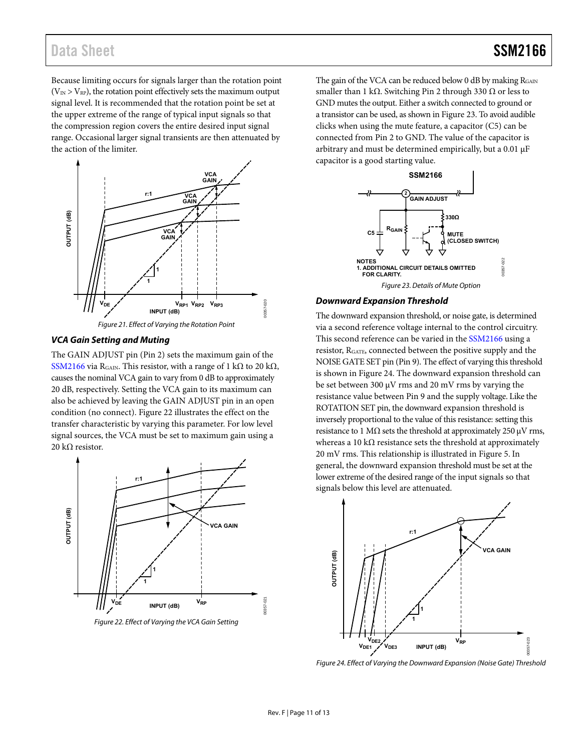## Data Sheet SSM2166

Because limiting occurs for signals larger than the rotation point  $(V_{IN} > V_{RP})$ , the rotation point effectively sets the maximum output signal level. It is recommended that the rotation point be set at the upper extreme of the range of typical input signals so that the compression region covers the entire desired input signal range. Occasional larger signal transients are then attenuated by the action of the limiter.



#### <span id="page-10-0"></span>**VCA Gain Setting and Muting**

The GAIN ADJUST pin (Pin 2) sets the maximum gain of the [SSM2166 v](http://www.analog.com/SSM2166?doc=SSM2166.pdf)ia R<sub>GAIN</sub>. This resistor, with a range of 1 kΩ to 20 kΩ, causes the nominal VCA gain to vary from 0 dB to approximately 20 dB, respectively. Setting the VCA gain to its maximum can also be achieved by leaving the GAIN ADJUST pin in an open condition (no connect). [Figure 22 i](#page-10-1)llustrates the effect on the transfer characteristic by varying this parameter. For low level signal sources, the VCA must be set to maximum gain using a 20 kΩ resistor.



<span id="page-10-1"></span>Figure 22. Effect of Varying the VCA Gain Setting

The gain of the VCA can be reduced below  $0$  dB by making  $R_{\text{GAIN}}$ smaller than 1 kΩ. Switching Pin 2 through 330  $Ω$  or less to GND mutes the output. Either a switch connected to ground or a transistor can be used, as shown i[n Figure 23.](#page-10-2) To avoid audible clicks when using the mute feature, a capacitor (C5) can be connected from Pin 2 to GND. The value of the capacitor is arbitrary and must be determined empirically, but a 0.01 μF capacitor is a good starting value.



#### <span id="page-10-2"></span>**Downward Expansion Threshold**

The downward expansion threshold, or noise gate, is determined via a second reference voltage internal to the control circuitry. This second reference can be varied in th[e SSM2166](http://www.analog.com/SSM2166?doc=SSM2166.pdf) using a resistor, RGATE, connected between the positive supply and the NOISE GATE SET pin (Pin 9). The effect of varying this threshold is shown in [Figure 24.](#page-10-3) The downward expansion threshold can be set between 300 μV rms and 20 mV rms by varying the resistance value between Pin 9 and the supply voltage. Like the ROTATION SET pin, the downward expansion threshold is inversely proportional to the value of this resistance: setting this resistance to 1 M $\Omega$  sets the threshold at approximately 250  $\mu$ V rms, whereas a 10 k $\Omega$  resistance sets the threshold at approximately 20 mV rms. This relationship is illustrated i[n Figure 5.](#page-5-2) In general, the downward expansion threshold must be set at the lower extreme of the desired range of the input signals so that signals below this level are attenuated.



<span id="page-10-3"></span>Figure 24. Effect of Varying the Downward Expansion (Noise Gate) Threshold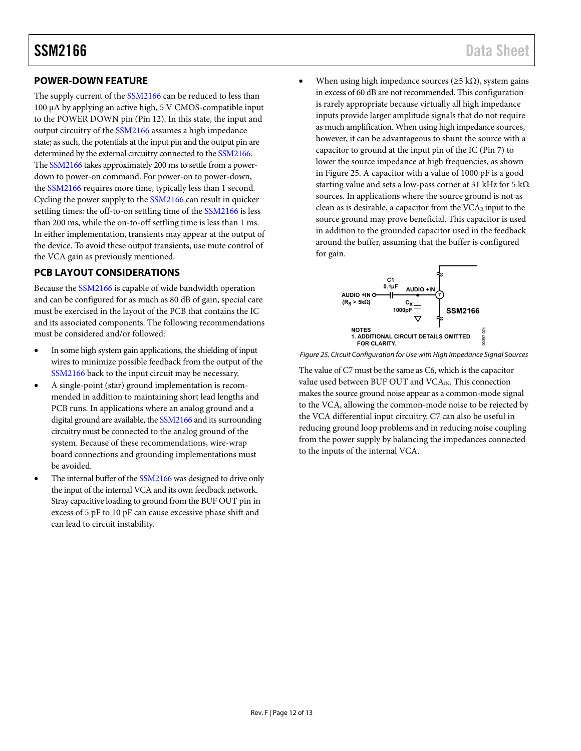### <span id="page-11-0"></span>**POWER-DOWN FEATURE**

The supply current of the [SSM2166 c](http://www.analog.com/SSM2166?doc=SSM2166.pdf)an be reduced to less than 100 μA by applying an active high, 5 V CMOS-compatible input to the POWER DOWN pin (Pin 12). In this state, the input and output circuitry of the [SSM2166 a](http://www.analog.com/SSM2166?doc=SSM2166.pdf)ssumes a high impedance state; as such, the potentials at the input pin and the output pin are determined by the external circuitry connected to th[e SSM2166.](http://www.analog.com/SSM2166?doc=SSM2166.pdf) Th[e SSM2166 t](http://www.analog.com/SSM2166?doc=SSM2166.pdf)akes approximately 200 ms to settle from a powerdown to power-on command. For power-on to power-down, the [SSM2166 r](http://www.analog.com/SSM2166?doc=SSM2166.pdf)equires more time, typically less than 1 second. Cycling the power supply to th[e SSM2166 c](http://www.analog.com/SSM2166?doc=SSM2166.pdf)an result in quicker settling times: the off-to-on settling time of th[e SSM2166](http://www.analog.com/SSM2166?doc=SSM2166.pdf) is less than 200 ms, while the on-to-off settling time is less than 1 ms. In either implementation, transients may appear at the output of the device. To avoid these output transients, use mute control of the VCA gain as previously mentioned.

### <span id="page-11-1"></span>**PCB LAYOUT CONSIDERATIONS**

Because the [SSM2166 i](http://www.analog.com/SSM2166?doc=SSM2166.pdf)s capable of wide bandwidth operation and can be configured for as much as 80 dB of gain, special care must be exercised in the layout of the PCB that contains the IC and its associated components. The following recommendations must be considered and/or followed:

- In some high system gain applications, the shielding of input wires to minimize possible feedback from the output of the [SSM2166 b](http://www.analog.com/SSM2166?doc=SSM2166.pdf)ack to the input circuit may be necessary.
- A single-point (star) ground implementation is recommended in addition to maintaining short lead lengths and PCB runs. In applications where an analog ground and a digital ground are available, th[e SSM2166 a](http://www.analog.com/SSM2166?doc=SSM2166.pdf)nd its surrounding circuitry must be connected to the analog ground of the system. Because of these recommendations, wire-wrap board connections and grounding implementations must be avoided.
- The internal buffer of th[e SSM2166](http://www.analog.com/SSM2166?doc=SSM2166.pdf) was designed to drive only the input of the internal VCA and its own feedback network. Stray capacitive loading to ground from the BUF OUT pin in excess of 5 pF to 10 pF can cause excessive phase shift and can lead to circuit instability.

When using high impedance sources ( $\geq$ 5 kΩ), system gains in excess of 60 dB are not recommended. This configuration is rarely appropriate because virtually all high impedance inputs provide larger amplitude signals that do not require as much amplification. When using high impedance sources, however, it can be advantageous to shunt the source with a capacitor to ground at the input pin of the IC (Pin 7) to lower the source impedance at high frequencies, as shown in [Figure 25.](#page-11-2) A capacitor with a value of 1000 pF is a good starting value and sets a low-pass corner at 31 kHz for 5 k $\Omega$ sources. In applications where the source ground is not as clean as is desirable, a capacitor from the VCAR input to the source ground may prove beneficial. This capacitor is used in addition to the grounded capacitor used in the feedback around the buffer, assuming that the buffer is configured for gain.



<span id="page-11-2"></span>Figure 25. Circuit Configuration for Use with High Impedance Signal Sources

The value of C7 must be the same as C6, which is the capacitor value used between BUF OUT and VCA<sub>IN</sub>. This connection makes the source ground noise appear as a common-mode signal to the VCA, allowing the common-mode noise to be rejected by the VCA differential input circuitry. C7 can also be useful in reducing ground loop problems and in reducing noise coupling from the power supply by balancing the impedances connected to the inputs of the internal VCA.